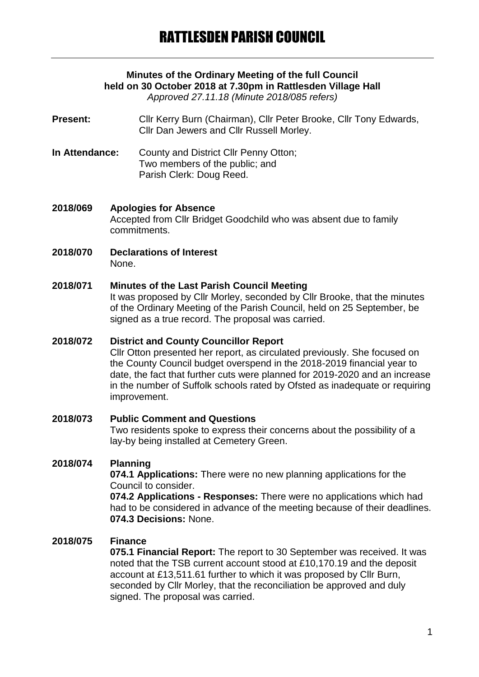# **Minutes of the Ordinary Meeting of the full Council held on 30 October 2018 at 7.30pm in Rattlesden Village Hall**

*Approved 27.11.18 (Minute 2018/085 refers)*

**Present:** Cllr Kerry Burn (Chairman), Cllr Peter Brooke, Cllr Tony Edwards, Cllr Dan Jewers and Cllr Russell Morley.

- **In Attendance:** County and District Cllr Penny Otton; Two members of the public; and Parish Clerk: Doug Reed.
- **2018/069 Apologies for Absence** Accepted from Cllr Bridget Goodchild who was absent due to family commitments.
- **2018/070 Declarations of Interest** None.

#### **2018/071 Minutes of the Last Parish Council Meeting**

It was proposed by Cllr Morley, seconded by Cllr Brooke, that the minutes of the Ordinary Meeting of the Parish Council, held on 25 September, be signed as a true record. The proposal was carried.

#### **2018/072 District and County Councillor Report**

Cllr Otton presented her report, as circulated previously. She focused on the County Council budget overspend in the 2018-2019 financial year to date, the fact that further cuts were planned for 2019-2020 and an increase in the number of Suffolk schools rated by Ofsted as inadequate or requiring improvement.

## **2018/073 Public Comment and Questions** Two residents spoke to express their concerns about the possibility of a lay-by being installed at Cemetery Green.

#### **2018/074 Planning**

**074.1 Applications:** There were no new planning applications for the Council to consider.

**074.2 Applications - Responses:** There were no applications which had had to be considered in advance of the meeting because of their deadlines. **074.3 Decisions:** None.

#### **2018/075 Finance**

**075.1 Financial Report:** The report to 30 September was received. It was noted that the TSB current account stood at £10,170.19 and the deposit account at £13,511.61 further to which it was proposed by Cllr Burn, seconded by Cllr Morley, that the reconciliation be approved and duly signed. The proposal was carried.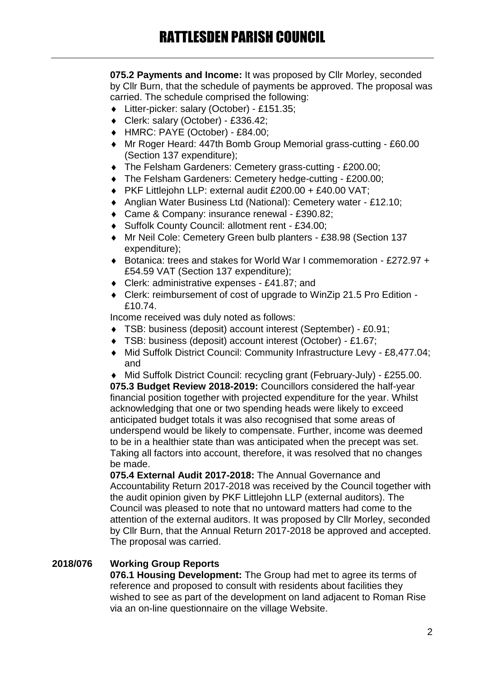**075.2 Payments and Income:** It was proposed by Cllr Morley, seconded by Cllr Burn, that the schedule of payments be approved. The proposal was carried. The schedule comprised the following:

- Litter-picker: salary (October) £151.35;
- Clerk: salary (October) £336.42;
- HMRC: PAYE (October) £84.00;
- Mr Roger Heard: 447th Bomb Group Memorial grass-cutting £60.00 (Section 137 expenditure);
- The Felsham Gardeners: Cemetery grass-cutting £200.00;
- The Felsham Gardeners: Cemetery hedge-cutting £200.00;
- PKF Littlejohn LLP: external audit £200.00 + £40.00 VAT;
- Anglian Water Business Ltd (National): Cemetery water £12.10;
- ◆ Came & Company: insurance renewal £390.82;
- ◆ Suffolk County Council: allotment rent £34.00;
- Mr Neil Cole: Cemetery Green bulb planters £38.98 (Section 137 expenditure);
- ◆ Botanica: trees and stakes for World War I commemoration £272.97 + £54.59 VAT (Section 137 expenditure);
- Clerk: administrative expenses £41.87; and
- ◆ Clerk: reimbursement of cost of upgrade to WinZip 21.5 Pro Edition -£10.74.

Income received was duly noted as follows:

- TSB: business (deposit) account interest (September) £0.91;
- TSB: business (deposit) account interest (October) £1.67;
- Mid Suffolk District Council: Community Infrastructure Levy £8,477.04; and

 Mid Suffolk District Council: recycling grant (February-July) - £255.00. **075.3 Budget Review 2018-2019:** Councillors considered the half-year financial position together with projected expenditure for the year. Whilst acknowledging that one or two spending heads were likely to exceed anticipated budget totals it was also recognised that some areas of underspend would be likely to compensate. Further, income was deemed to be in a healthier state than was anticipated when the precept was set. Taking all factors into account, therefore, it was resolved that no changes be made.

**075.4 External Audit 2017-2018:** The Annual Governance and Accountability Return 2017-2018 was received by the Council together with the audit opinion given by PKF Littlejohn LLP (external auditors). The Council was pleased to note that no untoward matters had come to the attention of the external auditors. It was proposed by Cllr Morley, seconded by Cllr Burn, that the Annual Return 2017-2018 be approved and accepted. The proposal was carried.

#### **2018/076 Working Group Reports**

**076.1 Housing Development:** The Group had met to agree its terms of reference and proposed to consult with residents about facilities they wished to see as part of the development on land adjacent to Roman Rise via an on-line questionnaire on the village Website.